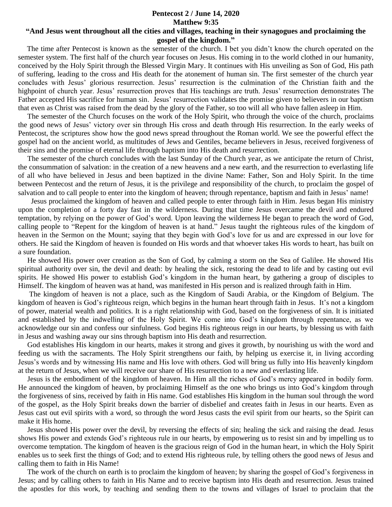## **Pentecost 2 / June 14, 2020 Matthew 9:35 "And Jesus went throughout all the cities and villages, teaching in their synagogues and proclaiming the**

## **gospel of the kingdom."**

 The time after Pentecost is known as the semester of the church. I bet you didn't know the church operated on the semester system. The first half of the church year focuses on Jesus. His coming in to the world clothed in our humanity, conceived by the Holy Spirit through the Blessed Virgin Mary. It continues with His unveiling as Son of God, His path of suffering, leading to the cross and His death for the atonement of human sin. The first semester of the church year concludes with Jesus' glorious resurrection. Jesus' resurrection is the culmination of the Christian faith and the highpoint of church year. Jesus' resurrection proves that His teachings are truth. Jesus' resurrection demonstrates The Father accepted His sacrifice for human sin. Jesus' resurrection validates the promise given to believers in our baptism that even as Christ was raised from the dead by the glory of the Father, so too will all who have fallen asleep in Him.

 The semester of the Church focuses on the work of the Holy Spirit, who through the voice of the church, proclaims the good news of Jesus' victory over sin through His cross and death through His resurrection. In the early weeks of Pentecost, the scriptures show how the good news spread throughout the Roman world. We see the powerful effect the gospel had on the ancient world, as multitudes of Jews and Gentiles, became believers in Jesus, received forgiveness of their sins and the promise of eternal life through baptism into His death and resurrection.

 The semester of the church concludes with the last Sunday of the Church year, as we anticipate the return of Christ, the consummation of salvation: in the creation of a new heavens and a new earth, and the resurrection to everlasting life of all who have believed in Jesus and been baptized in the divine Name: Father, Son and Holy Spirit. In the time between Pentecost and the return of Jesus, it is the privilege and responsibility of the church, to proclaim the gospel of salvation and to call people to enter into the kingdom of heaven; through repentance, baptism and faith in Jesus' name!

 Jesus proclaimed the kingdom of heaven and called people to enter through faith in Him. Jesus began His ministry upon the completion of a forty day fast in the wilderness. During that time Jesus overcame the devil and endured temptation, by relying on the power of God's word. Upon leaving the wilderness He began to preach the word of God, calling people to "Repent for the kingdom of heaven is at hand." Jesus taught the righteous rules of the kingdom of heaven in the Sermon on the Mount; saying that they begin with God's love for us and are expressed in our love for others. He said the Kingdom of heaven is founded on His words and that whoever takes His words to heart, has built on a sure foundation.

 He showed His power over creation as the Son of God, by calming a storm on the Sea of Galilee. He showed His spiritual authority over sin, the devil and death: by healing the sick, restoring the dead to life and by casting out evil spirits. He showed His power to establish God's kingdom in the human heart, by gathering a group of disciples to Himself. The kingdom of heaven was at hand, was manifested in His person and is realized through faith in Him.

 The kingdom of heaven is not a place, such as the Kingdom of Saudi Arabia, or the Kingdom of Belgium. The kingdom of heaven is God's righteous reign, which begins in the human heart through faith in Jesus. It's not a kingdom of power, material wealth and politics. It is a right relationship with God, based on the forgiveness of sin. It is initiated and established by the indwelling of the Holy Spirit. We come into God's kingdom through repentance, as we acknowledge our sin and confess our sinfulness. God begins His righteous reign in our hearts, by blessing us with faith in Jesus and washing away our sins through baptism into His death and resurrection.

 God establishes His kingdom in our hearts, makes it strong and gives it growth, by nourishing us with the word and feeding us with the sacraments. The Holy Spirit strengthens our faith, by helping us exercise it, in living according Jesus's words and by witnessing His name and His love with others. God will bring us fully into His heavenly kingdom at the return of Jesus, when we will receive our share of His resurrection to a new and everlasting life.

 Jesus is the embodiment of the kingdom of heaven. In Him all the riches of God's mercy appeared in bodily form. He announced the kingdom of heaven, by proclaiming Himself as the one who brings us into God's kingdom through the forgiveness of sins, received by faith in His name. God establishes His kingdom in the human soul through the word of the gospel, as the Holy Spirit breaks down the barrier of disbelief and creates faith in Jesus in our hearts. Even as Jesus cast out evil spirits with a word, so through the word Jesus casts the evil spirit from our hearts, so the Spirit can make it His home.

 Jesus showed His power over the devil, by reversing the effects of sin; healing the sick and raising the dead. Jesus shows His power and extends God's righteous rule in our hearts, by empowering us to resist sin and by impelling us to overcome temptation. The kingdom of heaven is the gracious reign of God in the human heart, in which the Holy Spirit enables us to seek first the things of God; and to extend His righteous rule, by telling others the good news of Jesus and calling them to faith in His Name!

 The work of the church on earth is to proclaim the kingdom of heaven; by sharing the gospel of God's forgiveness in Jesus; and by calling others to faith in His Name and to receive baptism into His death and resurrection. Jesus trained the apostles for this work, by teaching and sending them to the towns and villages of Israel to proclaim that the